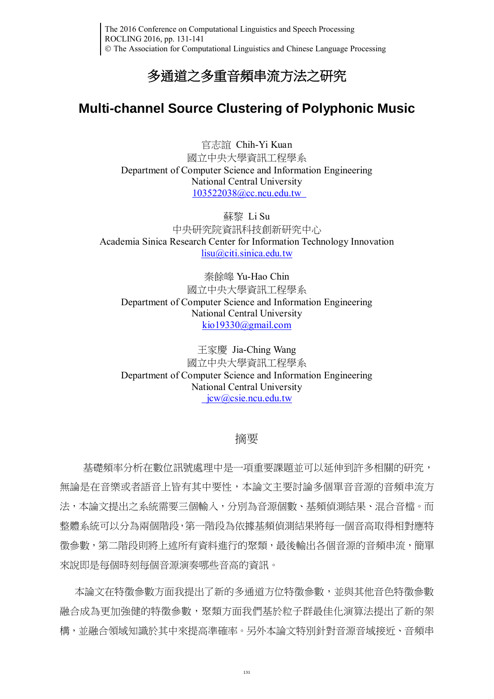The 2016 Conference on Computational Linguistics and Speech Processing ROCLING 2016, pp. 131-141 The Association for Computational Linguistics and Chinese Language Processing

## 多通道之多重音頻串流方法之研究

## **Multi-channel Source Clustering of Polyphonic Music**

官志誼 Chih-Yi Kuan 國立中央大學資訊工程學系 Department of Computer Science and Information Engineering National Central University 103522038@cc.ncu.edu.tw

蘇黎 Li Su 中央研究院資訊科技創新研究中心 [Academia Sinica](http://www.citi.sinica.edu.tw/) Research Center for Information Technology Innovation [lisu@citi.sinica.edu.tw](mailto:lisu@citi.sinica.edu.tw)

秦餘皞 Yu-Hao Chin 國立中央大學資訊工程學系 Department of Computer Science and Information Engineering National Central University [kio19330@gmail.com](mailto:kio19330@gmail.com)

王家慶 Jia-Ching Wang 國立中央大學資訊工程學系 Department of Computer Science and Information Engineering National Central University jcw@csie.ncu.edu.tw

## 摘要

基礎頻率分析在數位訊號處理中是一項重要課題並可以延伸到許多相關的研究, 無論是在音樂或者語音上皆有其中要性,本論文主要討論多個單音音源的音頻串流方 法,本論文提出之系統需要三個輸入,分別為音源個數、基頻偵測結果、混合音檔。而 整體系統可以分為兩個階段,第一階段為依據基頻偵測結果將每一個音高取得相對應特 徵參數,第二階段則將上述所有資料進行的聚類,最後輸出各個音源的音頻串流,簡單 來說即是每個時刻每個音源演奏哪些音高的資訊。

本論文在特徵參數方面我提出了新的多通道方位特徵參數,並與其他音色特徵參數 融合成為更加強健的特徵參數,聚類方面我們基於粒子群最佳化演算法提出了新的架 構,並融合領域知識於其中來提高準確率。另外本論文特別針對音源音域接近、音頻串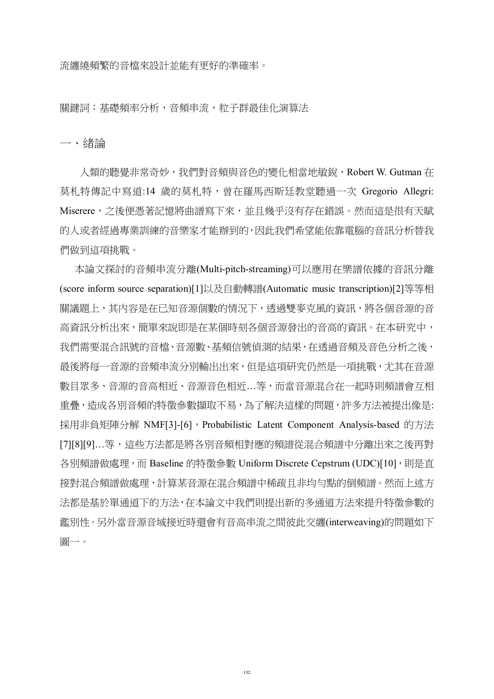流纏繞頻繁的音檔來設計並能有更好的準確率。

關鍵詞:基礎頻率分析,音頻串流,粒子群最佳化演算法

一、緒論

人類的聽覺非常奇妙,我們對音頻與音色的變化相當地敏銳,[Robert W. Gutman](https://www.amazon.com/Robert-W.-Gutman/e/B001H6Q0AA/ref=dp_byline_cont_book_1) 在 莫札特傳記中寫道:14 歲的莫札特,曾在羅馬西斯廷教堂聽過一次 Gregorio Allegri: Miserere,之後便憑著記憶將曲譜寫下來,並且幾乎沒有存在錯誤。然而這是很有天賦 的人或者經過專業訓練的音樂家才能辦到的,因此我們希望能依靠電腦的音訊分析替我 們做到這項挑戰。

 本論文探討的音頻串流分離(Multi-pitch-streaming)可以應用在樂譜依據的音訊分離 (score inform source separation[\)\[1\]](#page-8-0)以及自動轉譜(Automatic music transcription[\)\[2\]](#page-8-1)等等相 關議題上,其內容是在已知音源個數的情況下,透過雙麥克風的資訊,將各個音源的音 高資訊分析出來,簡單來說即是在某個時刻各個音源發出的音高的資訊。在本研究中, 我們需要混合訊號的音檔、音源數[、基頻信號偵測的](http://ndltd.ncl.edu.tw/cgi-bin/gs32/gsweb.cgi/ccd=ZoSr4o/search?q=kwc=%22%E5%9F%BA%E9%A0%BB%E4%BF%A1%E8%99%9F%E5%81%B5%E6%B8%AC%22.&searchmode=basic)結果,在诱過音頻及音色分析之後, 最後將每一音源的音頻串流分別輸出出來,但是這項研究仍然是一項挑戰,尤其在音源 數目眾多、音源的音高相近、音源音色相近…等,而當音源混合在一起時則頻譜會互相 重疊,造成各別音頻的特徵參數擷取不易,為了解決這樣的問題,許多方法被提出像是: 採用非負矩陣分解 NM[F\[3\]](#page-8-2)[-\[6\]](#page-9-0), Probabilistic Latent Component Analysis-based 的方法 [\[7](#page-9-1)[\]\[8](#page-9-2)[\]\[9\]](#page-9-3)…等,這些方法都是將各別音頻相對應的頻譜從混合頻譜中分離出來之後再對 各別頻譜做處理,而 Baseline 的特徵參數 Uniform Discrete Cepstrum (UDC[\)\[10\]](#page-9-4),則是直 接對混合頻譜做處理,計算某音源在混合頻譜中稀疏且非均勻點的倒頻譜。然而上述方 法都是基於單通道下的方法,在本論文中我們則提出新的多通道方法來提升特徵參數的 鑑別性。另外當音源音域接近時還會有音高串流之間彼此交纏(interweaving)的問題如下 圖一。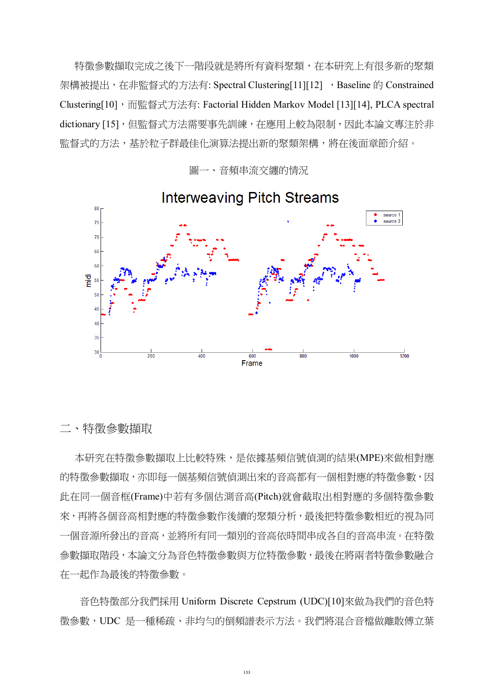特徵參數擷取完成之後下一階段就是將所有資料聚類,在本研究上有很多新的聚類 架構被提出,在非監督式的方法有: Spectral Clusterin[g\[11\]](#page-9-5)[\[12\]](#page-9-6), Baseline 的 Constrained Clusterin[g\[10\]](#page-9-4), 而監督式方法有: Factorial Hidden Markov Model [\[13\]](#page-9-7)[\[14\]](#page-9-8), PLCA spectral dictionary [\[15\]](#page-10-0), 但監督式方法需要事先訓練, 在應用上較為限制, 因此本論文專注於非 監督式的方法,基於粒子群最佳化演算法提出新的聚類架構,將在後面章節介紹。



圖一、音頻串流交纏的情況

二、特徵參數擷取

 本研究在特徵參數擷取上比較特殊,是依[據基頻信號偵測的](http://ndltd.ncl.edu.tw/cgi-bin/gs32/gsweb.cgi/ccd=ZoSr4o/search?q=kwc=%22%E5%9F%BA%E9%A0%BB%E4%BF%A1%E8%99%9F%E5%81%B5%E6%B8%AC%22.&searchmode=basic)結果(MPE)來做相對應 的特徵參數擷取, 亦即每一[個基頻信號偵測出](http://ndltd.ncl.edu.tw/cgi-bin/gs32/gsweb.cgi/ccd=ZoSr4o/search?q=kwc=%22%E5%9F%BA%E9%A0%BB%E4%BF%A1%E8%99%9F%E5%81%B5%E6%B8%AC%22.&searchmode=basic)來的音高都有一個相對應的特徵參數, 因 此在同一個音框(Frame)中若有多個估測音高(Pitch)就會截取出相對應的多個特徵參數 來,再將各個音高相對應的特徵參數作後續的聚類分析,最後把特徵參數相近的視為同 一個音源所發出的音高,並將所有同一類別的音高依時間串成各自的音高串流。在特徵 參數擷取階段,本論文分為音色特徵參數與方位特徵參數,最後在將兩者特徵參數融合 在一起作為最後的特徵參數。

 音色特徵部分我們採用 Uniform Discrete Cepstrum (UDC)[10]來做為我們的音色特 徵參數,UDC 是一種稀疏、非均勻的倒頻譜表示方法。我們將混合音檔做離散傅立葉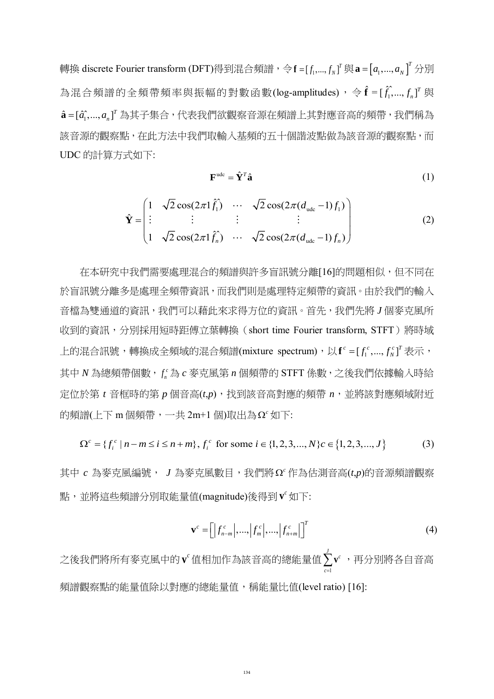轉換 discrete Fourier transform (DFT)得到混合頻譜,令 **f** = [ $f_1,...,f_N$ ]『 與 **a** = [ $a_1,...,a_N$ ] 『 分別 為混合頻譜的全頻帶頻率與振幅的對數函數(log-amplitudes), 令 $\hat{\mathbf{f}} = [\hat{f}_1, ..., f_n]^T$ 與  $\hat{\mathbf{a}}$  =[ $\hat{a_{1}}$ ,..., $a_{n}$ ] $^{\scriptscriptstyle{T}}$  為其子集合,代表我們欲觀察音源在頻譜上其對應音高的頻帶,我們稱為 該音源的觀察點,在此方法中我們取輸入基頻的五十個諧波點做為該音源的觀察點,而 UDC 的計算方式如下:

$$
\mathbf{F}^{\text{ude}} = \hat{\mathbf{Y}}^T \hat{\mathbf{a}} \tag{1}
$$

$$
\hat{\mathbf{Y}} = \begin{pmatrix}\n1 & \sqrt{2}\cos(2\pi 1\hat{f}_1) & \cdots & \sqrt{2}\cos(2\pi (d_{\text{ude}} - 1)f_1) \\
\vdots & \vdots & \vdots & \vdots \\
1 & \sqrt{2}\cos(2\pi 1\hat{f}_n) & \cdots & \sqrt{2}\cos(2\pi (d_{\text{ude}} - 1)f_n)\n\end{pmatrix}
$$
\n(2)

 在本研究中我們需要處理混合的頻譜與許多盲訊號分離[\[16\]](#page-10-1)的問題相似,但不同在 於盲訊號分離多是處理全頻帶資訊,而我們則是處理特定頻帶的資訊。由於我們的輸入 音檔為雙通道的資訊,我們可以藉此來求得方位的資訊。首先,我們先將 *J* 個麥克風所 收到的資訊,分別採用短時距傅立葉轉換(short time Fourier transform, STFT)將時域 上的混合訊號,轉換成全頻域的混合頻譜(mixture spectrum),以 $\mathbf{f}^c = [f_1^c, ..., f_N^c]^T$ 表示, 其中 *N* 為總頻帶個數, $f_{\scriptscriptstyle \rm n}^{\scriptscriptstyle c}$ 為  $c$  麥克風第 n 個頻帶的 STFT 係數,之後我們依據輸入時給 定位於第 *t* 音框時的第 *p* 個音高(*t*,*p*),找到該音高對應的頻帶 *n*,並將該對應頻域附近 的頻譜(上下 m 個頻帶, 一共 2m+1 個)取出為  $\Omega$ <sup>c</sup> 如下:

$$
\Omega^{c} = \{f_{i}^{c} | n-m \le i \le n+m\}, f_{i}^{c} \text{ for some } i \in \{1, 2, 3, ..., N\}c \in \{1, 2, 3, ..., J\}
$$
 (3)

其中 *c* 為麥克風編號, *J* 為麥克風數目,我們將 *<sup>c</sup>* Ω 作為估測音高(*t*,*p*)的音源頻譜觀察 點,並將這些頻譜分別取能量值(magnitude)後得到 *<sup>c</sup>* **v** 如下:

$$
\mathbf{v}^c = \left[ \left| f_{n-m}^c \right|, \ldots, \left| f_m^c \right|, \ldots, \left| f_{n+m}^c \right| \right]^T \tag{4}
$$

 $\angle$ 後我們將所有麥克風中的 $\mathbf{v}^{\mathsf{c}}$ 值相加作為該音高的總能量值 $\sum' \mathbf{v}^{\mathsf{c}}$ ,再分別將各自音高 1 *c*= 頻譜觀察點的能量值除以對應的總能量值,稱能量比值(level ratio) [16]: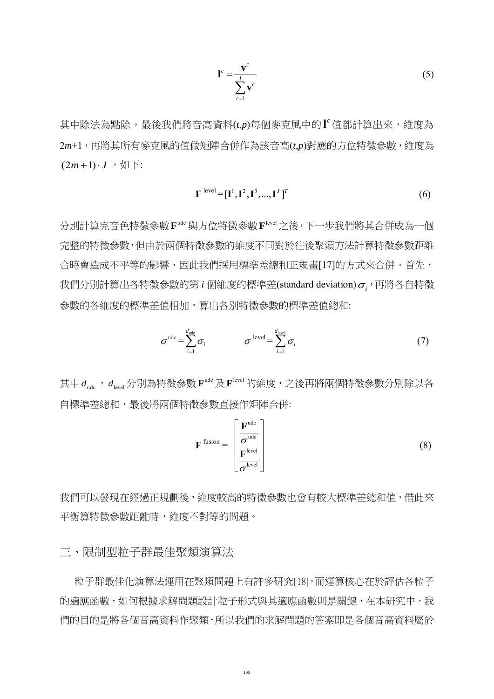$$
\mathbf{l}^c = \frac{\mathbf{v}^c}{\sum_{c=1}^{J} \mathbf{v}^c}
$$
 (5)

其中除法為點除。最後我們將音高資料(t,p)每個麥克風中的 <sup>r</sup> 值都計算出來,維度為 2*m*+1,再將其所有麥克風的值做矩陣合併作為該音高(*t*,*p*)對應的方位特徵參數,維度為  $(2m+1)\cdot J$ ,  $\forall \mathbb{I}$   $\top$ :

$$
\mathbf{F}^{\text{level}} = [\mathbf{I}^1, \mathbf{I}^2, \mathbf{I}^3, ..., \mathbf{I}^J]^T
$$
 (6)

分別計算完音色特徵參數 Fudc 與方位特徵參數 Flevel 之後, 下一步我們將其合併成為一個 完整的特徵參數,但由於兩個特徵參數的維度不同對於往後聚類方法計算特徵參數距離 合時會造成不平等的影響,因此我們採用標準差總和正規畫[\[17\]](#page-10-2)的方式來合併。首先, 我們分別計算出各特徵參數的第  $i$  個維度的標準差(standard deviation) $\sigma_i$  <sup>,</sup>再將各自特徵 參數的各維度的標準差值相加,算出各別特徵參數的標準差值總和:

$$
\sigma^{\text{ude}} = \sum_{i=1}^{d_{\text{ude}}}\sigma_i \qquad \qquad \sigma^{\text{ level}} = \sum_{i=1}^{d_{\text{level}}} \sigma_i \qquad (7)
$$

其中  $d_{\text{udc}}$ ,  $d_{\text{level}}$  分別為特徵參數  $\mathbf{F}^{\text{udc}}$  及  $\mathbf{F}^{\text{level}}$  的維度, 之後再將兩個特徵參數分別除以各 自標準差總和,最後將兩個特徵參數直接作矩陣合併:

$$
\mathbf{F}^{\text{fusion}} = \begin{bmatrix} \mathbf{F}^{\text{udc}} \\ \frac{\sigma^{\text{udc}}}{\sigma^{\text{level}}} \\ \frac{\sigma^{\text{level}}}{\sigma^{\text{level}}} \end{bmatrix} \tag{8}
$$

我們可以發現在經過正規劃後,維度較高的特徵參數也會有較大標準差總和值,借此來 平衡算特徵參數距離時,維度不對等的問題。

三、限制型粒子群最佳聚類演算法

 粒子群最佳化演算法運用在聚類問題上有許多研究[\[18\]](#page-10-3),而運算核心在於評估各粒子 的適應函數,如何根據求解問題設計粒子形式與其適應函數則是關鍵,在本研究中,我 們的目的是將各個音高資料作聚類,所以我們的求解問題的答案即是各個音高資料屬於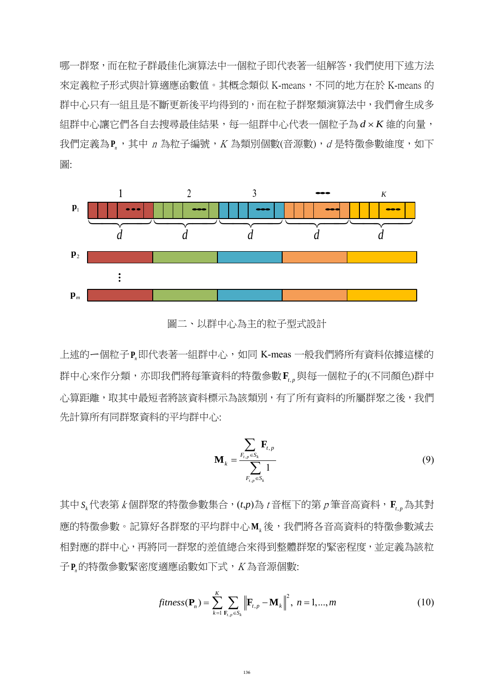哪一群聚,而在粒子群最佳化演算法中一個粒子即代表著一組解答,我們使用下述方法 來定義粒子形式與計算適應函數值。其概念類似 K-means,不同的地方在於 K-means 的 群中心只有一組且是不斷更新後平均得到的,而在粒子群聚類演算法中,我們會生成多 組群中心讓它們各自去搜尋最佳結果,每一組群中心代表一個粒子為  $d \times K$  維的向量, 我們定義為P,,其中 n 為粒子編號,K 為類別個數(音源數), d 是特徵參數維度, 如下 圖:



圖二、以群中心為主的粒子型式設計

上述的一個粒子P.即代表著一組群中心,如同 K-meas 一般我們將所有資料依據這樣的 群中心來作分類,亦即我們將每筆資料的特徵參數F<sub>4</sub>, 與每一個粒子的(不同顏色)群中 心算距離,取其中最短者將該資料標示為該類別,有了所有資料的所屬群聚之後,我們 先計算所有同群聚資料的平均群中心:

$$
\mathbf{M}_{k} = \frac{\sum_{F_{t,p} \in S_{k}} \mathbf{F}_{t,p}}{\sum_{F_{t,p} \in S_{k}} 1}
$$
(9)

其中 *<sup>k</sup> S* 代表第 <sup>k</sup> 個群聚的特徵參數集合,(*t*,*p*)為 <sup>t</sup> 音框下的第 <sup>p</sup> 筆音高資料,**F***t p*, 為其對 應的特徵參數。記算好各群聚的平均群中心M<sub></sub>,後,我們將各音高資料的特徵參數減去 相對應的群中心,再將同一群聚的差值總合來得到整體群聚的緊密程度,並定義為該粒 子**P***n*的特徵參數緊密度適應函數如下式,<sup>K</sup> 為音源個數:

$$
fitness(\mathbf{P}_n) = \sum_{k=1}^{K} \sum_{\mathbf{F}_{t,p} \in S_k} \left\| \mathbf{F}_{t,p} - \mathbf{M}_k \right\|^2, \ n = 1,...,m
$$
 (10)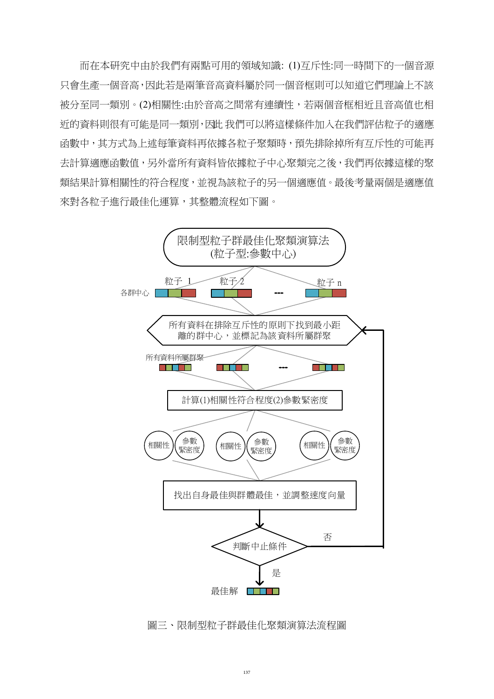而在本研究中由於我們有兩點可用的領域知識: (1)互斥性:同一時間下的一個音源 只會生產一個音高,因此若是兩筆音高資料屬於同一個音框則可以知道它們理論上不該 被分至同一類別。(2)相關性:由於音高之間常有連續性,若兩個音框相近且音高值也相 近的資料則很有可能是同一類別,因此 我們可以將這樣條件加入在我們評估粒子的適應 函數中,其方式為上述每筆資料再依據各粒子聚類時,預先排除掉所有互斥性的可能再 去計算適應函數值,另外當所有資料皆依據粒子中心聚類宗之後,我們再依據這樣的聚 類結果計算相關性的符合程度,並視為該粒子的另一個適應值。最後考量兩個是適應值 來對各粒子進行最佳化運算,其整體流程如下圖。



圖三、限制型粒子群最佳化聚類演算法流程圖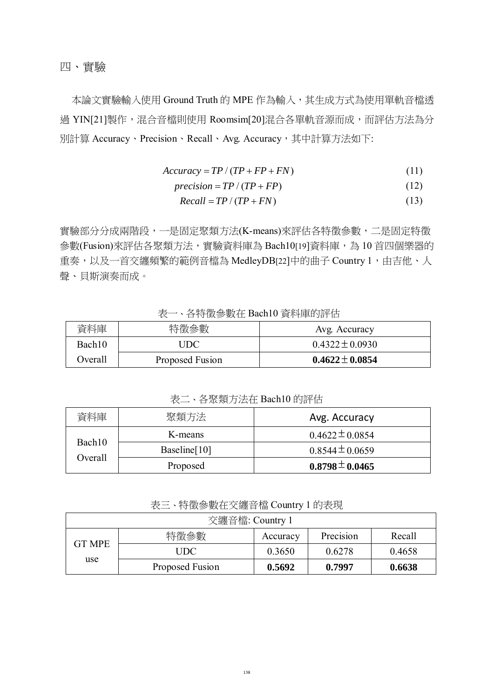四、實驗

本論文實驗輸入使用 Ground Truth 的 MPE 作為輸入,其生成方式為使用單軌音檔透 過 YI[N\[21\]](#page-10-4)製作,混合音檔則使用 Roomsi[m\[20\]](#page-10-5)混合各單軌音源而成,而評估方法為分 別計算 Accuracy、Precision、Recall、Avg. Accuracy,其中計算方法如下:

$$
Accuracy = TP / (TP + FP + FN)
$$
\n(11)

$$
precision = TP / (TP + FP)
$$
 (12)

$$
Recall = TP / (TP + FN)
$$
\n(13)

實驗部分分成兩階段,一是固定聚類方法(K-means)來評估各特徵參數,二是固定特徵 參數(Fusion)來評估各聚類方法,實驗資料庫為 Bach1[0\[19\]](#page-10-6)資料庫,為 10 首四個樂器的 重奏,以及一首交纏頻繁的範例音檔為 MedleyD[B\[22\]](#page-10-7)中的曲子 Country 1, 由吉他、人 聲、貝斯演奏而成。

| 資料庫     | 特徵參數            | Avg. Accuracy       |
|---------|-----------------|---------------------|
| Bach10  | UDC             | $0.4322 \pm 0.0930$ |
| Overall | Proposed Fusion | $0.4622 \pm 0.0854$ |

表一、各特徵參數在 Bach10 資料庫的評估

表二、各聚類方法在 Bach10 的評估

| 資料庫               | 聚類方法            | Avg. Accuracy       |
|-------------------|-----------------|---------------------|
| Bach10<br>Overall | K-means         | $0.4622 \pm 0.0854$ |
|                   | Baseline $[10]$ | $0.8544 \pm 0.0659$ |
|                   | Proposed        | $0.8798 \pm 0.0465$ |

表三、特徵參數在交纏音檔 Country 1 的表現

| 交纏音檔: Country 1       |                 |          |           |        |  |  |
|-----------------------|-----------------|----------|-----------|--------|--|--|
| <b>GT MPE</b><br>use. | 特徵參數            | Accuracy | Precision | Recall |  |  |
|                       | UDC.            | 0.3650   | 0.6278    | 0.4658 |  |  |
|                       | Proposed Fusion | 0.5692   | 0.7997    | 0.6638 |  |  |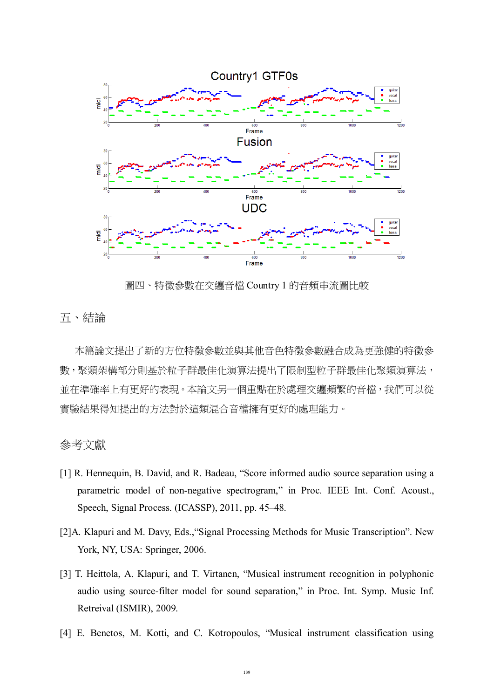

圖四、特徵參數在交纏音檔 Country 1 的音頻串流圖比較

五、結論

 本篇論文提出了新的方位特徵參數並與其他音色特徵參數融合成為更強健的特徵參 數,聚類架構部分則基於粒子群最佳化演算法提出了限制型粒子群最佳化聚類演算法, 並在準確率上有更好的表現。本論文另一個重點在於處理交纏頻繁的音檔,我們可以從 實驗結果得知提出的方法對於這類混合音檔擁有更好的處理能力。

## 參考文獻

- <span id="page-8-0"></span>[1] R. Hennequin, B. David, and R. Badeau, "Score informed audio source separation using a parametric model of non-negative spectrogram," in Proc. IEEE Int. Conf. Acoust., Speech, Signal Process. (ICASSP), 2011, pp. 45–48.
- <span id="page-8-1"></span>[2]A. Klapuri and M. Davy, Eds.,"Signal Processing Methods for Music Transcription". New York, NY, USA: Springer, 2006.
- <span id="page-8-2"></span>[3] T. Heittola, A. Klapuri, and T. Virtanen, "Musical instrument recognition in polyphonic audio using source-filter model for sound separation," in Proc. Int. Symp. Music Inf. Retreival (ISMIR), 2009.
- [4] E. Benetos, M. Kotti, and C. Kotropoulos, "Musical instrument classification using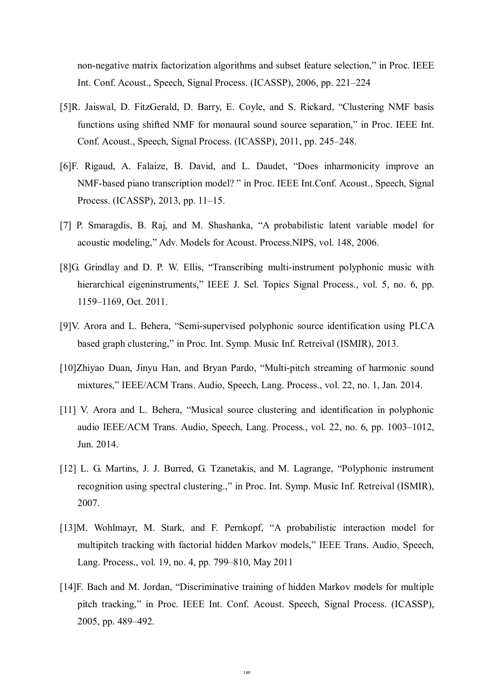non-negative matrix factorization algorithms and subset feature selection," in Proc. IEEE Int. Conf. Acoust., Speech, Signal Process. (ICASSP), 2006, pp. 221–224

- [5]R. Jaiswal, D. FitzGerald, D. Barry, E. Coyle, and S. Rickard, "Clustering NMF basis functions using shifted NMF for monaural sound source separation," in Proc. IEEE Int. Conf. Acoust., Speech, Signal Process. (ICASSP), 2011, pp. 245–248.
- <span id="page-9-0"></span>[6]F. Rigaud, A. Falaize, B. David, and L. Daudet, "Does inharmonicity improve an NMF-based piano transcription model? " in Proc. IEEE Int.Conf. Acoust., Speech, Signal Process. (ICASSP), 2013, pp. 11–15.
- <span id="page-9-1"></span>[7] P. Smaragdis, B. Raj, and M. Shashanka, "A probabilistic latent variable model for acoustic modeling," Adv. Models for Acoust. Process.NIPS, vol. 148, 2006.
- <span id="page-9-2"></span>[8]G. Grindlay and D. P. W. Ellis, "Transcribing multi-instrument polyphonic music with hierarchical eigeninstruments," IEEE J. Sel. Topics Signal Process., vol. 5, no. 6, pp. 1159–1169, Oct. 2011.
- <span id="page-9-3"></span>[9]V. Arora and L. Behera, "Semi-supervised polyphonic source identification using PLCA based graph clustering," in Proc. Int. Symp. Music Inf. Retreival (ISMIR), 2013.
- <span id="page-9-4"></span>[10]Zhiyao Duan, Jinyu Han, and Bryan Pardo, "Multi-pitch streaming of harmonic sound mixtures," IEEE/ACM Trans. Audio, Speech, Lang. Process., vol. 22, no. 1, Jan. 2014.
- <span id="page-9-5"></span>[11] V. Arora and L. Behera, "Musical source clustering and identification in polyphonic audio IEEE/ACM Trans. Audio, Speech, Lang. Process., vol. 22, no. 6, pp. 1003–1012, Jun. 2014.
- <span id="page-9-6"></span>[12] L. G. Martins, J. J. Burred, G. Tzanetakis, and M. Lagrange, "Polyphonic instrument recognition using spectral clustering.," in Proc. Int. Symp. Music Inf. Retreival (ISMIR), 2007.
- <span id="page-9-7"></span>[13]M. Wohlmayr, M. Stark, and F. Pernkopf, "A probabilistic interaction model for multipitch tracking with factorial hidden Markov models," IEEE Trans. Audio, Speech, Lang. Process., vol. 19, no. 4, pp. 799–810, May 2011
- <span id="page-9-8"></span>[14]F. Bach and M. Jordan, "Discriminative training of hidden Markov models for multiple pitch tracking," in Proc. IEEE Int. Conf. Acoust. Speech, Signal Process. (ICASSP), 2005, pp. 489–492.